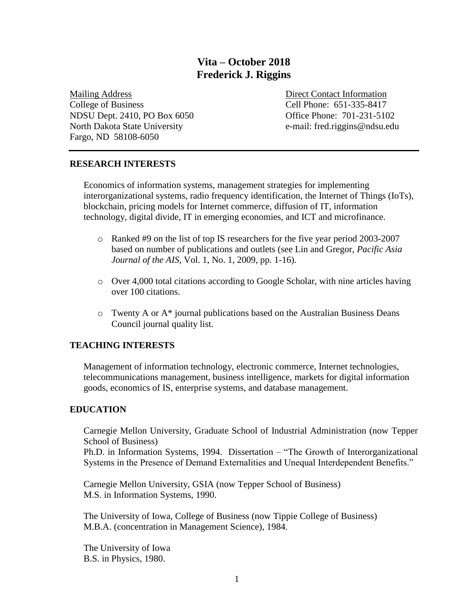# **Vita – October 2018 Frederick J. Riggins**

Mailing Address Direct Contact Information College of Business Cell Phone: 651-335-8417 NDSU Dept. 2410, PO Box 6050 Office Phone: 701-231-5102 North Dakota State University e-mail: fred.riggins@ndsu.edu Fargo, ND 58108-6050

### **RESEARCH INTERESTS**

Economics of information systems, management strategies for implementing interorganizational systems, radio frequency identification, the Internet of Things (IoTs), blockchain, pricing models for Internet commerce, diffusion of IT, information technology, digital divide, IT in emerging economies, and ICT and microfinance.

- o Ranked #9 on the list of top IS researchers for the five year period 2003-2007 based on number of publications and outlets (see Lin and Gregor, *Pacific Asia Journal of the AIS*, Vol. 1, No. 1, 2009, pp. 1-16).
- o Over 4,000 total citations according to Google Scholar, with nine articles having over 100 citations.
- o Twenty A or A\* journal publications based on the Australian Business Deans Council journal quality list.

### **TEACHING INTERESTS**

Management of information technology, electronic commerce, Internet technologies, telecommunications management, business intelligence, markets for digital information goods, economics of IS, enterprise systems, and database management.

### **EDUCATION**

Carnegie Mellon University, Graduate School of Industrial Administration (now Tepper School of Business)

Ph.D. in Information Systems, 1994. Dissertation – "The Growth of Interorganizational Systems in the Presence of Demand Externalities and Unequal Interdependent Benefits."

Carnegie Mellon University, GSIA (now Tepper School of Business) M.S. in Information Systems, 1990.

The University of Iowa, College of Business (now Tippie College of Business) M.B.A. (concentration in Management Science), 1984.

The University of Iowa B.S. in Physics, 1980.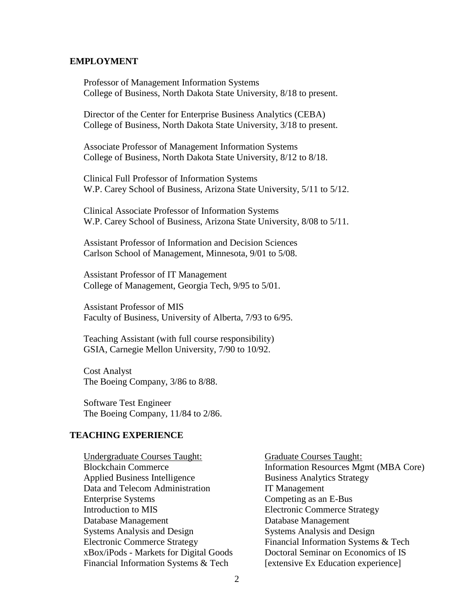#### **EMPLOYMENT**

Professor of Management Information Systems College of Business, North Dakota State University, 8/18 to present.

Director of the Center for Enterprise Business Analytics (CEBA) College of Business, North Dakota State University, 3/18 to present.

Associate Professor of Management Information Systems College of Business, North Dakota State University, 8/12 to 8/18.

Clinical Full Professor of Information Systems W.P. Carey School of Business, Arizona State University, 5/11 to 5/12.

Clinical Associate Professor of Information Systems W.P. Carey School of Business, Arizona State University, 8/08 to 5/11.

Assistant Professor of Information and Decision Sciences Carlson School of Management, Minnesota, 9/01 to 5/08.

Assistant Professor of IT Management College of Management, Georgia Tech, 9/95 to 5/01.

Assistant Professor of MIS Faculty of Business, University of Alberta, 7/93 to 6/95.

Teaching Assistant (with full course responsibility) GSIA, Carnegie Mellon University, 7/90 to 10/92.

Cost Analyst The Boeing Company, 3/86 to 8/88.

Software Test Engineer The Boeing Company, 11/84 to 2/86.

#### **TEACHING EXPERIENCE**

Undergraduate Courses Taught: Blockchain Commerce Applied Business Intelligence Data and Telecom Administration Enterprise Systems Introduction to MIS Database Management Systems Analysis and Design Electronic Commerce Strategy xBox/iPods - Markets for Digital Goods Financial Information Systems & Tech

Graduate Courses Taught: Information Resources Mgmt (MBA Core) Business Analytics Strategy IT Management Competing as an E-Bus Electronic Commerce Strategy Database Management Systems Analysis and Design Financial Information Systems & Tech Doctoral Seminar on Economics of IS [extensive Ex Education experience]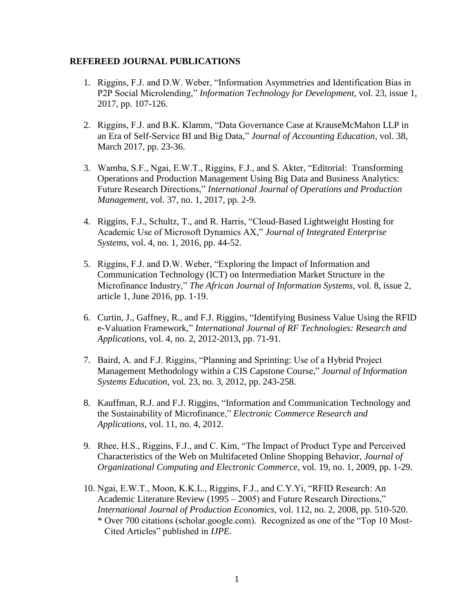#### **REFEREED JOURNAL PUBLICATIONS**

- 1. Riggins, F.J. and D.W. Weber, "Information Asymmetries and Identification Bias in P2P Social Microlending," *Information Technology for Development*, vol. 23, issue 1, 2017, pp. 107-126.
- 2. Riggins, F.J. and B.K. Klamm, "Data Governance Case at KrauseMcMahon LLP in an Era of Self-Service BI and Big Data," *Journal of Accounting Education*, vol. 38, March 2017, pp. 23-36.
- 3. Wamba, S.F., Ngai, E.W.T., Riggins, F.J., and S. Akter, "Editorial: Transforming Operations and Production Management Using Big Data and Business Analytics: Future Research Directions," *International Journal of Operations and Production Management*, vol. 37, no. 1, 2017, pp. 2-9.
- 4. Riggins, F.J., Schultz, T., and R. Harris, "Cloud-Based Lightweight Hosting for Academic Use of Microsoft Dynamics AX," *Journal of Integrated Enterprise Systems*, vol. 4, no. 1, 2016, pp. 44-52.
- 5. Riggins, F.J. and D.W. Weber, "Exploring the Impact of Information and Communication Technology (ICT) on Intermediation Market Structure in the Microfinance Industry," *The African Journal of Information Systems*, vol. 8, issue 2, article 1, June 2016, pp. 1-19.
- 6. Curtin, J., Gaffney, R., and F.J. Riggins, "Identifying Business Value Using the RFID e-Valuation Framework," *International Journal of RF Technologies: Research and Applications*, vol. 4, no. 2, 2012-2013, pp. 71-91.
- 7. Baird, A. and F.J. Riggins, "Planning and Sprinting: Use of a Hybrid Project Management Methodology within a CIS Capstone Course," *Journal of Information Systems Education*, vol. 23, no. 3, 2012, pp. 243-258.
- 8. Kauffman, R.J. and F.J. Riggins, "Information and Communication Technology and the Sustainability of Microfinance," *Electronic Commerce Research and Applications*, vol. 11, no. 4, 2012.
- 9. Rhee, H.S., Riggins, F.J., and C. Kim, "The Impact of Product Type and Perceived Characteristics of the Web on Multifaceted Online Shopping Behavior, *Journal of Organizational Computing and Electronic Commerce*, vol. 19, no. 1, 2009, pp. 1-29.
- 10. Ngai, E.W.T., Moon, K.K.L., Riggins, F.J., and C.Y.Yi, "RFID Research: An Academic Literature Review (1995 – 2005) and Future Research Directions," *International Journal of Production Economics*, vol. 112, no. 2, 2008, pp. 510-520. \* Over 700 citations (scholar.google.com). Recognized as one of the "Top 10 Most-Cited Articles" published in *IJPE*.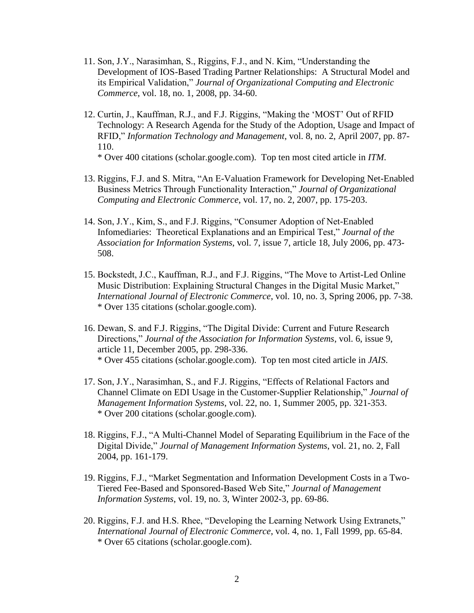- 11. Son, J.Y., Narasimhan, S., Riggins, F.J., and N. Kim, "Understanding the Development of IOS-Based Trading Partner Relationships: A Structural Model and its Empirical Validation," *Journal of Organizational Computing and Electronic Commerce*, vol. 18, no. 1, 2008, pp. 34-60.
- 12. Curtin, J., Kauffman, R.J., and F.J. Riggins, "Making the 'MOST' Out of RFID Technology: A Research Agenda for the Study of the Adoption, Usage and Impact of RFID," *Information Technology and Management*, vol. 8, no. 2, April 2007, pp. 87- 110.

\* Over 400 citations (scholar.google.com). Top ten most cited article in *ITM*.

- 13. Riggins, F.J. and S. Mitra, "An E-Valuation Framework for Developing Net-Enabled Business Metrics Through Functionality Interaction," *Journal of Organizational Computing and Electronic Commerce*, vol. 17, no. 2, 2007, pp. 175-203.
- 14. Son, J.Y., Kim, S., and F.J. Riggins, "Consumer Adoption of Net-Enabled Infomediaries: Theoretical Explanations and an Empirical Test," *Journal of the Association for Information Systems*, vol. 7, issue 7, article 18, July 2006, pp. 473- 508.
- 15. Bockstedt, J.C., Kauffman, R.J., and F.J. Riggins, "The Move to Artist-Led Online Music Distribution: Explaining Structural Changes in the Digital Music Market," *International Journal of Electronic Commerce*, vol. 10, no. 3, Spring 2006, pp. 7-38. \* Over 135 citations (scholar.google.com).
- 16. Dewan, S. and F.J. Riggins, "The Digital Divide: Current and Future Research Directions," *Journal of the Association for Information Systems*, vol. 6, issue 9, article 11, December 2005, pp. 298-336. \* Over 455 citations (scholar.google.com). Top ten most cited article in *JAIS*.
- 17. Son, J.Y., Narasimhan, S., and F.J. Riggins, "Effects of Relational Factors and Channel Climate on EDI Usage in the Customer-Supplier Relationship," *Journal of Management Information Systems*, vol. 22, no. 1, Summer 2005, pp. 321-353. \* Over 200 citations (scholar.google.com).
- 18. Riggins, F.J., "A Multi-Channel Model of Separating Equilibrium in the Face of the Digital Divide," *Journal of Management Information Systems*, vol. 21, no. 2, Fall 2004, pp. 161-179.
- 19. Riggins, F.J., "Market Segmentation and Information Development Costs in a Two-Tiered Fee-Based and Sponsored-Based Web Site," *Journal of Management Information Systems*, vol. 19, no. 3, Winter 2002-3, pp. 69-86.
- 20. Riggins, F.J. and H.S. Rhee, "Developing the Learning Network Using Extranets," *International Journal of Electronic Commerce*, vol. 4, no. 1, Fall 1999, pp. 65-84. \* Over 65 citations (scholar.google.com).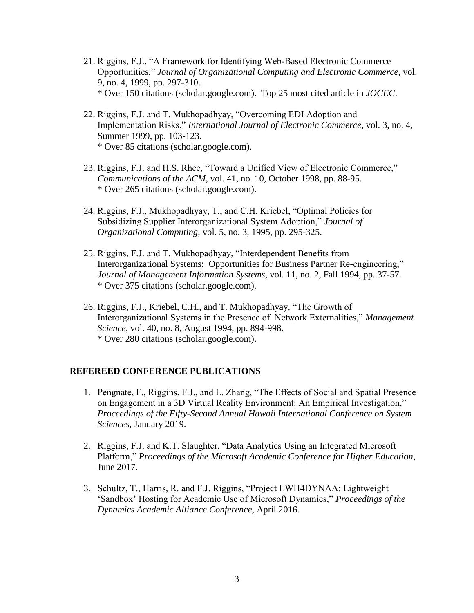- 21. Riggins, F.J., "A Framework for Identifying Web-Based Electronic Commerce Opportunities," *Journal of Organizational Computing and Electronic Commerce*, vol. 9, no. 4, 1999, pp. 297-310. \* Over 150 citations (scholar.google.com). Top 25 most cited article in *JOCEC*.
- 22. Riggins, F.J. and T. Mukhopadhyay, "Overcoming EDI Adoption and Implementation Risks," *International Journal of Electronic Commerce*, vol. 3, no. 4, Summer 1999, pp. 103-123. \* Over 85 citations (scholar.google.com).
- 23. Riggins, F.J. and H.S. Rhee, "Toward a Unified View of Electronic Commerce," *Communications of the ACM*, vol. 41, no. 10, October 1998, pp. 88-95. \* Over 265 citations (scholar.google.com).
- 24. Riggins, F.J., Mukhopadhyay, T., and C.H. Kriebel, "Optimal Policies for Subsidizing Supplier Interorganizational System Adoption," *Journal of Organizational Computing*, vol. 5, no. 3, 1995, pp. 295-325.
- 25. Riggins, F.J. and T. Mukhopadhyay, "Interdependent Benefits from Interorganizational Systems: Opportunities for Business Partner Re-engineering," *Journal of Management Information Systems*, vol. 11, no. 2, Fall 1994, pp. 37-57. \* Over 375 citations (scholar.google.com).
- 26. Riggins, F.J., Kriebel, C.H., and T. Mukhopadhyay, "The Growth of Interorganizational Systems in the Presence of Network Externalities," *Management Science*, vol. 40, no. 8, August 1994, pp. 894-998. \* Over 280 citations (scholar.google.com).

### **REFEREED CONFERENCE PUBLICATIONS**

- 1. Pengnate, F., Riggins, F.J., and L. Zhang, "The Effects of Social and Spatial Presence on Engagement in a 3D Virtual Reality Environment: An Empirical Investigation," *Proceedings of the Fifty-Second Annual Hawaii International Conference on System Sciences*, January 2019.
- 2. Riggins, F.J. and K.T. Slaughter, "Data Analytics Using an Integrated Microsoft Platform," *Proceedings of the Microsoft Academic Conference for Higher Education*, June 2017.
- 3. Schultz, T., Harris, R. and F.J. Riggins, "Project LWH4DYNAA: Lightweight 'Sandbox' Hosting for Academic Use of Microsoft Dynamics," *Proceedings of the Dynamics Academic Alliance Conference*, April 2016.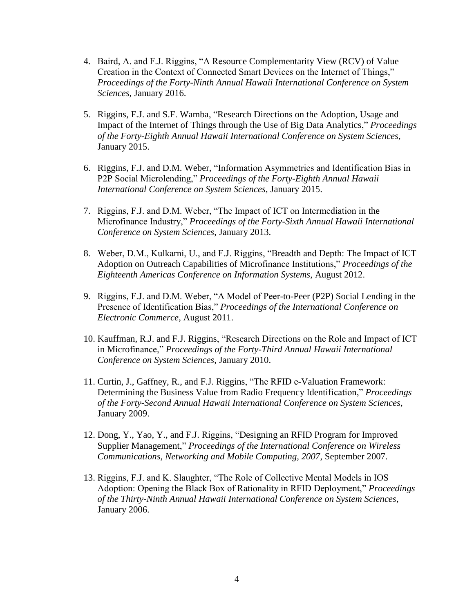- 4. Baird, A. and F.J. Riggins, "A Resource Complementarity View (RCV) of Value Creation in the Context of Connected Smart Devices on the Internet of Things," *Proceedings of the Forty-Ninth Annual Hawaii International Conference on System Sciences*, January 2016.
- 5. Riggins, F.J. and S.F. Wamba, "Research Directions on the Adoption, Usage and Impact of the Internet of Things through the Use of Big Data Analytics," *Proceedings of the Forty-Eighth Annual Hawaii International Conference on System Sciences*, January 2015.
- 6. Riggins, F.J. and D.M. Weber, "Information Asymmetries and Identification Bias in P2P Social Microlending," *Proceedings of the Forty-Eighth Annual Hawaii International Conference on System Sciences*, January 2015.
- 7. Riggins, F.J. and D.M. Weber, "The Impact of ICT on Intermediation in the Microfinance Industry," *Proceedings of the Forty-Sixth Annual Hawaii International Conference on System Sciences*, January 2013.
- 8. Weber, D.M., Kulkarni, U., and F.J. Riggins, "Breadth and Depth: The Impact of ICT Adoption on Outreach Capabilities of Microfinance Institutions," *Proceedings of the Eighteenth Americas Conference on Information Systems*, August 2012.
- 9. Riggins, F.J. and D.M. Weber, "A Model of Peer-to-Peer (P2P) Social Lending in the Presence of Identification Bias," *Proceedings of the International Conference on Electronic Commerce*, August 2011.
- 10. Kauffman, R.J. and F.J. Riggins, "Research Directions on the Role and Impact of ICT in Microfinance," *Proceedings of the Forty-Third Annual Hawaii International Conference on System Sciences*, January 2010.
- 11. Curtin, J., Gaffney, R., and F.J. Riggins, "The RFID e-Valuation Framework: Determining the Business Value from Radio Frequency Identification," *Proceedings of the Forty-Second Annual Hawaii International Conference on System Sciences*, January 2009.
- 12. Dong, Y., Yao, Y., and F.J. Riggins, "Designing an RFID Program for Improved Supplier Management," *Proceedings of the International Conference on Wireless Communications, Networking and Mobile Computing, 2007*, September 2007.
- 13. Riggins, F.J. and K. Slaughter, "The Role of Collective Mental Models in IOS Adoption: Opening the Black Box of Rationality in RFID Deployment," *Proceedings of the Thirty-Ninth Annual Hawaii International Conference on System Sciences*, January 2006.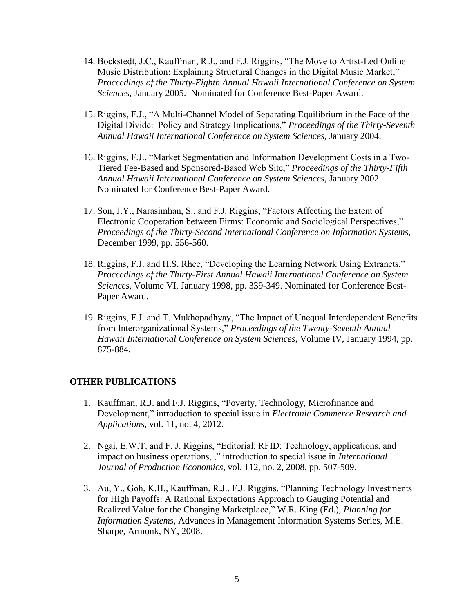- 14. Bockstedt, J.C., Kauffman, R.J., and F.J. Riggins, "The Move to Artist-Led Online Music Distribution: Explaining Structural Changes in the Digital Music Market," *Proceedings of the Thirty-Eighth Annual Hawaii International Conference on System Sciences*, January 2005. Nominated for Conference Best-Paper Award.
- 15. Riggins, F.J., "A Multi-Channel Model of Separating Equilibrium in the Face of the Digital Divide: Policy and Strategy Implications," *Proceedings of the Thirty-Seventh Annual Hawaii International Conference on System Sciences*, January 2004.
- 16. Riggins, F.J., "Market Segmentation and Information Development Costs in a Two-Tiered Fee-Based and Sponsored-Based Web Site," *Proceedings of the Thirty-Fifth Annual Hawaii International Conference on System Sciences*, January 2002. Nominated for Conference Best-Paper Award.
- 17. Son, J.Y., Narasimhan, S., and F.J. Riggins, "Factors Affecting the Extent of Electronic Cooperation between Firms: Economic and Sociological Perspectives," *Proceedings of the Thirty-Second International Conference on Information Systems*, December 1999, pp. 556-560.
- 18. Riggins, F.J. and H.S. Rhee, "Developing the Learning Network Using Extranets," *Proceedings of the Thirty-First Annual Hawaii International Conference on System Sciences*, Volume VI, January 1998, pp. 339-349. Nominated for Conference Best-Paper Award.
- 19. Riggins, F.J. and T. Mukhopadhyay, "The Impact of Unequal Interdependent Benefits from Interorganizational Systems," *Proceedings of the Twenty-Seventh Annual Hawaii International Conference on System Sciences*, Volume IV, January 1994, pp. 875-884.

#### **OTHER PUBLICATIONS**

- 1. Kauffman, R.J. and F.J. Riggins, "Poverty, Technology, Microfinance and Development," introduction to special issue in *Electronic Commerce Research and Applications*, vol. 11, no. 4, 2012.
- 2. Ngai, E.W.T. and F. J. Riggins, "Editorial: RFID: Technology, applications, and impact on business operations, ," introduction to special issue in *International Journal of Production Economics*, vol. 112, no. 2, 2008, pp. 507-509.
- 3. Au, Y., Goh, K.H., Kauffman, R.J., F.J. Riggins, "Planning Technology Investments for High Payoffs: A Rational Expectations Approach to Gauging Potential and Realized Value for the Changing Marketplace," W.R. King (Ed.), *Planning for Information Systems*, Advances in Management Information Systems Series, M.E. Sharpe, Armonk, NY, 2008.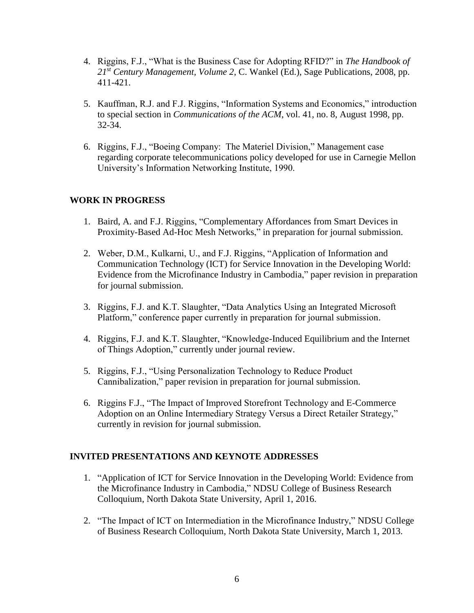- 4. Riggins, F.J., "What is the Business Case for Adopting RFID?" in *The Handbook of 21st Century Management, Volume 2*, C. Wankel (Ed.), Sage Publications, 2008, pp. 411-421.
- 5. Kauffman, R.J. and F.J. Riggins, "Information Systems and Economics," introduction to special section in *Communications of the ACM*, vol. 41, no. 8, August 1998, pp. 32-34.
- 6. Riggins, F.J., "Boeing Company: The Materiel Division," Management case regarding corporate telecommunications policy developed for use in Carnegie Mellon University's Information Networking Institute, 1990.

## **WORK IN PROGRESS**

- 1. Baird, A. and F.J. Riggins, "Complementary Affordances from Smart Devices in Proximity-Based Ad-Hoc Mesh Networks," in preparation for journal submission.
- 2. Weber, D.M., Kulkarni, U., and F.J. Riggins, "Application of Information and Communication Technology (ICT) for Service Innovation in the Developing World: Evidence from the Microfinance Industry in Cambodia," paper revision in preparation for journal submission.
- 3. Riggins, F.J. and K.T. Slaughter, "Data Analytics Using an Integrated Microsoft Platform," conference paper currently in preparation for journal submission.
- 4. Riggins, F.J. and K.T. Slaughter, "Knowledge-Induced Equilibrium and the Internet of Things Adoption," currently under journal review.
- 5. Riggins, F.J., "Using Personalization Technology to Reduce Product Cannibalization," paper revision in preparation for journal submission.
- 6. Riggins F.J., "The Impact of Improved Storefront Technology and E-Commerce Adoption on an Online Intermediary Strategy Versus a Direct Retailer Strategy," currently in revision for journal submission.

### **INVITED PRESENTATIONS AND KEYNOTE ADDRESSES**

- 1. "Application of ICT for Service Innovation in the Developing World: Evidence from the Microfinance Industry in Cambodia," NDSU College of Business Research Colloquium, North Dakota State University, April 1, 2016.
- 2. "The Impact of ICT on Intermediation in the Microfinance Industry," NDSU College of Business Research Colloquium, North Dakota State University, March 1, 2013.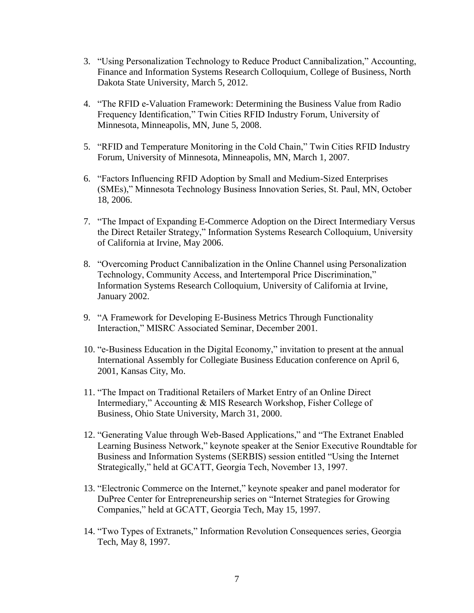- 3. "Using Personalization Technology to Reduce Product Cannibalization," Accounting, Finance and Information Systems Research Colloquium, College of Business, North Dakota State University, March 5, 2012.
- 4. "The RFID e-Valuation Framework: Determining the Business Value from Radio Frequency Identification," Twin Cities RFID Industry Forum, University of Minnesota, Minneapolis, MN, June 5, 2008.
- 5. "RFID and Temperature Monitoring in the Cold Chain," Twin Cities RFID Industry Forum, University of Minnesota, Minneapolis, MN, March 1, 2007.
- 6. "Factors Influencing RFID Adoption by Small and Medium-Sized Enterprises (SMEs)," Minnesota Technology Business Innovation Series, St. Paul, MN, October 18, 2006.
- 7. "The Impact of Expanding E-Commerce Adoption on the Direct Intermediary Versus the Direct Retailer Strategy," Information Systems Research Colloquium, University of California at Irvine, May 2006.
- 8. "Overcoming Product Cannibalization in the Online Channel using Personalization Technology, Community Access, and Intertemporal Price Discrimination," Information Systems Research Colloquium, University of California at Irvine, January 2002.
- 9. "A Framework for Developing E-Business Metrics Through Functionality Interaction," MISRC Associated Seminar, December 2001.
- 10. "e-Business Education in the Digital Economy," invitation to present at the annual International Assembly for Collegiate Business Education conference on April 6, 2001, Kansas City, Mo.
- 11. "The Impact on Traditional Retailers of Market Entry of an Online Direct Intermediary," Accounting & MIS Research Workshop, Fisher College of Business, Ohio State University, March 31, 2000.
- 12. "Generating Value through Web-Based Applications," and "The Extranet Enabled Learning Business Network," keynote speaker at the Senior Executive Roundtable for Business and Information Systems (SERBIS) session entitled "Using the Internet Strategically," held at GCATT, Georgia Tech, November 13, 1997.
- 13. "Electronic Commerce on the Internet," keynote speaker and panel moderator for DuPree Center for Entrepreneurship series on "Internet Strategies for Growing Companies," held at GCATT, Georgia Tech, May 15, 1997.
- 14. "Two Types of Extranets," Information Revolution Consequences series, Georgia Tech, May 8, 1997.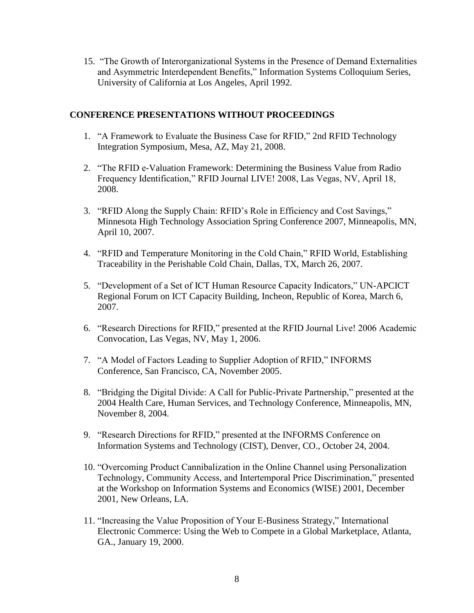15. "The Growth of Interorganizational Systems in the Presence of Demand Externalities and Asymmetric Interdependent Benefits," Information Systems Colloquium Series, University of California at Los Angeles, April 1992.

## **CONFERENCE PRESENTATIONS WITHOUT PROCEEDINGS**

- 1. "A Framework to Evaluate the Business Case for RFID," 2nd RFID Technology Integration Symposium, Mesa, AZ, May 21, 2008.
- 2. "The RFID e-Valuation Framework: Determining the Business Value from Radio Frequency Identification," RFID Journal LIVE! 2008, Las Vegas, NV, April 18, 2008.
- 3. "RFID Along the Supply Chain: RFID's Role in Efficiency and Cost Savings," Minnesota High Technology Association Spring Conference 2007, Minneapolis, MN, April 10, 2007.
- 4. "RFID and Temperature Monitoring in the Cold Chain," RFID World, Establishing Traceability in the Perishable Cold Chain, Dallas, TX, March 26, 2007.
- 5. "Development of a Set of ICT Human Resource Capacity Indicators," UN-APCICT Regional Forum on ICT Capacity Building, Incheon, Republic of Korea, March 6, 2007.
- 6. "Research Directions for RFID," presented at the RFID Journal Live! 2006 Academic Convocation, Las Vegas, NV, May 1, 2006.
- 7. "A Model of Factors Leading to Supplier Adoption of RFID," INFORMS Conference, San Francisco, CA, November 2005.
- 8. "Bridging the Digital Divide: A Call for Public-Private Partnership," presented at the 2004 Health Care, Human Services, and Technology Conference, Minneapolis, MN, November 8, 2004.
- 9. "Research Directions for RFID," presented at the INFORMS Conference on Information Systems and Technology (CIST), Denver, CO., October 24, 2004.
- 10. "Overcoming Product Cannibalization in the Online Channel using Personalization Technology, Community Access, and Intertemporal Price Discrimination," presented at the Workshop on Information Systems and Economics (WISE) 2001, December 2001, New Orleans, LA.
- 11. "Increasing the Value Proposition of Your E-Business Strategy," International Electronic Commerce: Using the Web to Compete in a Global Marketplace, Atlanta, GA., January 19, 2000.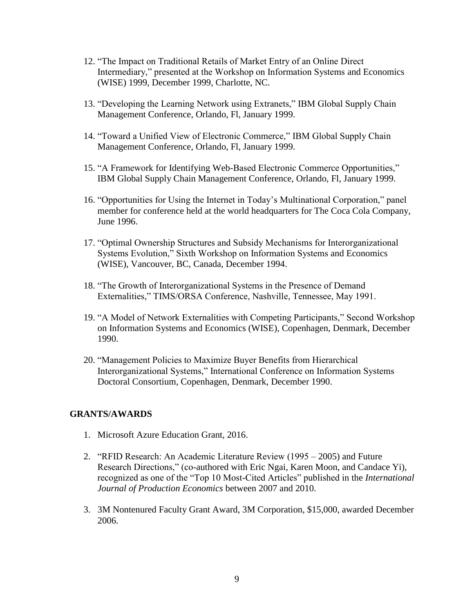- 12. "The Impact on Traditional Retails of Market Entry of an Online Direct Intermediary," presented at the Workshop on Information Systems and Economics (WISE) 1999, December 1999, Charlotte, NC.
- 13. "Developing the Learning Network using Extranets," IBM Global Supply Chain Management Conference, Orlando, Fl, January 1999.
- 14. "Toward a Unified View of Electronic Commerce," IBM Global Supply Chain Management Conference, Orlando, Fl, January 1999.
- 15. "A Framework for Identifying Web-Based Electronic Commerce Opportunities," IBM Global Supply Chain Management Conference, Orlando, Fl, January 1999.
- 16. "Opportunities for Using the Internet in Today's Multinational Corporation," panel member for conference held at the world headquarters for The Coca Cola Company, June 1996.
- 17. "Optimal Ownership Structures and Subsidy Mechanisms for Interorganizational Systems Evolution," Sixth Workshop on Information Systems and Economics (WISE), Vancouver, BC, Canada, December 1994.
- 18. "The Growth of Interorganizational Systems in the Presence of Demand Externalities," TIMS/ORSA Conference, Nashville, Tennessee, May 1991.
- 19. "A Model of Network Externalities with Competing Participants," Second Workshop on Information Systems and Economics (WISE), Copenhagen, Denmark, December 1990.
- 20. "Management Policies to Maximize Buyer Benefits from Hierarchical Interorganizational Systems," International Conference on Information Systems Doctoral Consortium, Copenhagen, Denmark, December 1990.

### **GRANTS/AWARDS**

- 1. Microsoft Azure Education Grant, 2016.
- 2. "RFID Research: An Academic Literature Review (1995 2005) and Future Research Directions," (co-authored with Eric Ngai, Karen Moon, and Candace Yi), recognized as one of the "Top 10 Most-Cited Articles" published in the *International Journal of Production Economics* between 2007 and 2010.
- 3. 3M Nontenured Faculty Grant Award, 3M Corporation, \$15,000, awarded December 2006.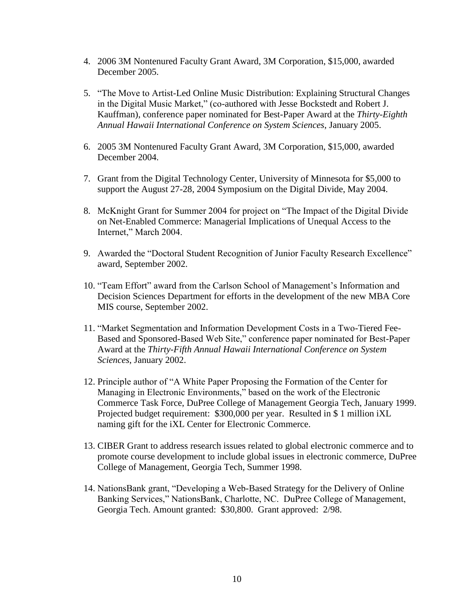- 4. 2006 3M Nontenured Faculty Grant Award, 3M Corporation, \$15,000, awarded December 2005.
- 5. "The Move to Artist-Led Online Music Distribution: Explaining Structural Changes in the Digital Music Market," (co-authored with Jesse Bockstedt and Robert J. Kauffman), conference paper nominated for Best-Paper Award at the *Thirty-Eighth Annual Hawaii International Conference on System Sciences*, January 2005.
- 6. 2005 3M Nontenured Faculty Grant Award, 3M Corporation, \$15,000, awarded December 2004.
- 7. Grant from the Digital Technology Center, University of Minnesota for \$5,000 to support the August 27-28, 2004 Symposium on the Digital Divide, May 2004.
- 8. McKnight Grant for Summer 2004 for project on "The Impact of the Digital Divide on Net-Enabled Commerce: Managerial Implications of Unequal Access to the Internet," March 2004.
- 9. Awarded the "Doctoral Student Recognition of Junior Faculty Research Excellence" award, September 2002.
- 10. "Team Effort" award from the Carlson School of Management's Information and Decision Sciences Department for efforts in the development of the new MBA Core MIS course, September 2002.
- 11. "Market Segmentation and Information Development Costs in a Two-Tiered Fee-Based and Sponsored-Based Web Site," conference paper nominated for Best-Paper Award at the *Thirty-Fifth Annual Hawaii International Conference on System Sciences*, January 2002.
- 12. Principle author of "A White Paper Proposing the Formation of the Center for Managing in Electronic Environments, $\dot{v}$  based on the work of the Electronic Commerce Task Force, DuPree College of Management Georgia Tech, January 1999. Projected budget requirement: \$300,000 per year. Resulted in \$ 1 million iXL naming gift for the iXL Center for Electronic Commerce.
- 13. CIBER Grant to address research issues related to global electronic commerce and to promote course development to include global issues in electronic commerce, DuPree College of Management, Georgia Tech, Summer 1998.
- 14. NationsBank grant, "Developing a Web-Based Strategy for the Delivery of Online Banking Services," NationsBank, Charlotte, NC. DuPree College of Management, Georgia Tech. Amount granted: \$30,800. Grant approved: 2/98.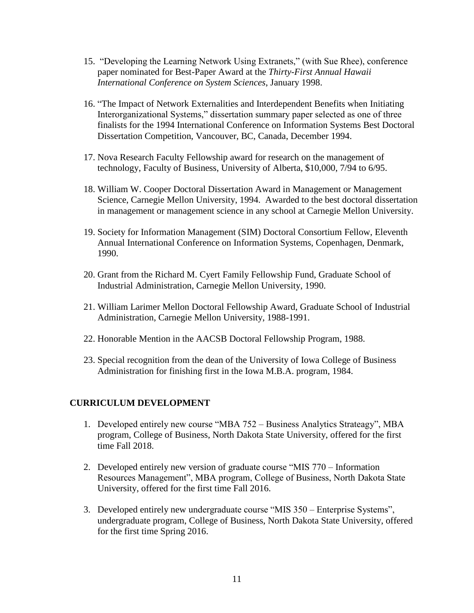- 15. "Developing the Learning Network Using Extranets," (with Sue Rhee), conference paper nominated for Best-Paper Award at the *Thirty-First Annual Hawaii International Conference on System Sciences*, January 1998.
- 16. "The Impact of Network Externalities and Interdependent Benefits when Initiating Interorganizational Systems," dissertation summary paper selected as one of three finalists for the 1994 International Conference on Information Systems Best Doctoral Dissertation Competition, Vancouver, BC, Canada, December 1994.
- 17. Nova Research Faculty Fellowship award for research on the management of technology, Faculty of Business, University of Alberta, \$10,000, 7/94 to 6/95.
- 18. William W. Cooper Doctoral Dissertation Award in Management or Management Science, Carnegie Mellon University, 1994. Awarded to the best doctoral dissertation in management or management science in any school at Carnegie Mellon University.
- 19. Society for Information Management (SIM) Doctoral Consortium Fellow, Eleventh Annual International Conference on Information Systems, Copenhagen, Denmark, 1990.
- 20. Grant from the Richard M. Cyert Family Fellowship Fund, Graduate School of Industrial Administration, Carnegie Mellon University, 1990.
- 21. William Larimer Mellon Doctoral Fellowship Award, Graduate School of Industrial Administration, Carnegie Mellon University, 1988-1991.
- 22. Honorable Mention in the AACSB Doctoral Fellowship Program, 1988.
- 23. Special recognition from the dean of the University of Iowa College of Business Administration for finishing first in the Iowa M.B.A. program, 1984.

### **CURRICULUM DEVELOPMENT**

- 1. Developed entirely new course "MBA 752 Business Analytics Strateagy", MBA program, College of Business, North Dakota State University, offered for the first time Fall 2018.
- 2. Developed entirely new version of graduate course "MIS 770 Information Resources Management", MBA program, College of Business, North Dakota State University, offered for the first time Fall 2016.
- 3. Developed entirely new undergraduate course "MIS 350 Enterprise Systems", undergraduate program, College of Business, North Dakota State University, offered for the first time Spring 2016.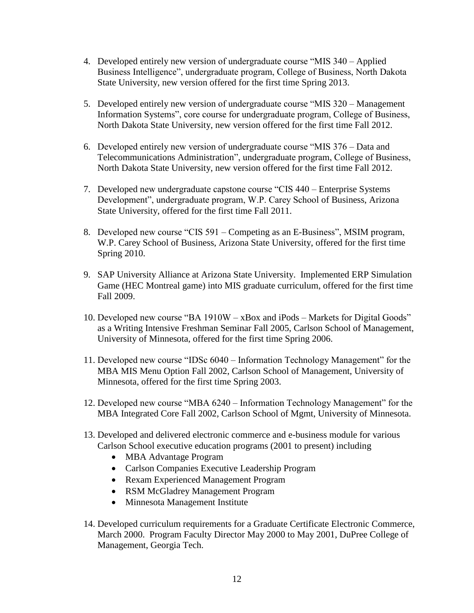- 4. Developed entirely new version of undergraduate course "MIS 340 Applied Business Intelligence", undergraduate program, College of Business, North Dakota State University, new version offered for the first time Spring 2013.
- 5. Developed entirely new version of undergraduate course "MIS 320 Management Information Systems", core course for undergraduate program, College of Business, North Dakota State University, new version offered for the first time Fall 2012.
- 6. Developed entirely new version of undergraduate course "MIS 376 Data and Telecommunications Administration", undergraduate program, College of Business, North Dakota State University, new version offered for the first time Fall 2012.
- 7. Developed new undergraduate capstone course "CIS 440 Enterprise Systems Development", undergraduate program, W.P. Carey School of Business, Arizona State University, offered for the first time Fall 2011.
- 8. Developed new course "CIS 591 Competing as an E-Business", MSIM program, W.P. Carey School of Business, Arizona State University, offered for the first time Spring 2010.
- 9. SAP University Alliance at Arizona State University. Implemented ERP Simulation Game (HEC Montreal game) into MIS graduate curriculum, offered for the first time Fall 2009.
- 10. Developed new course "BA 1910W xBox and iPods Markets for Digital Goods" as a Writing Intensive Freshman Seminar Fall 2005, Carlson School of Management, University of Minnesota, offered for the first time Spring 2006.
- 11. Developed new course "IDSc 6040 Information Technology Management" for the MBA MIS Menu Option Fall 2002, Carlson School of Management, University of Minnesota, offered for the first time Spring 2003.
- 12. Developed new course "MBA 6240 Information Technology Management" for the MBA Integrated Core Fall 2002, Carlson School of Mgmt, University of Minnesota.
- 13. Developed and delivered electronic commerce and e-business module for various Carlson School executive education programs (2001 to present) including
	- MBA Advantage Program
	- Carlson Companies Executive Leadership Program
	- Rexam Experienced Management Program
	- RSM McGladrey Management Program
	- Minnesota Management Institute
- 14. Developed curriculum requirements for a Graduate Certificate Electronic Commerce, March 2000. Program Faculty Director May 2000 to May 2001, DuPree College of Management, Georgia Tech.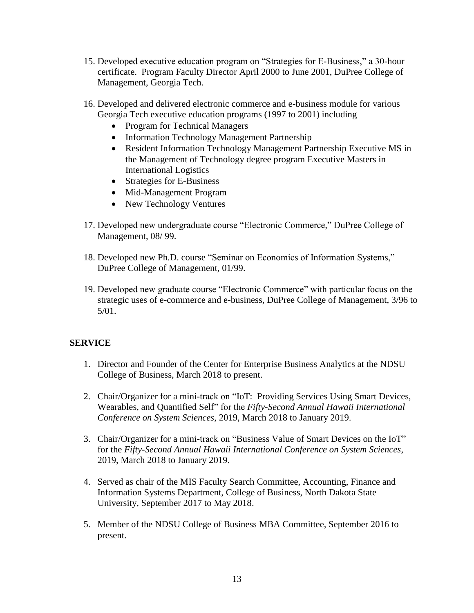- 15. Developed executive education program on "Strategies for E-Business," a 30-hour certificate. Program Faculty Director April 2000 to June 2001, DuPree College of Management, Georgia Tech.
- 16. Developed and delivered electronic commerce and e-business module for various Georgia Tech executive education programs (1997 to 2001) including
	- Program for Technical Managers
	- Information Technology Management Partnership
	- Resident Information Technology Management Partnership Executive MS in the Management of Technology degree program Executive Masters in International Logistics
	- Strategies for E-Business
	- Mid-Management Program
	- New Technology Ventures
- 17. Developed new undergraduate course "Electronic Commerce," DuPree College of Management, 08/ 99.
- 18. Developed new Ph.D. course "Seminar on Economics of Information Systems," DuPree College of Management, 01/99.
- 19. Developed new graduate course "Electronic Commerce" with particular focus on the strategic uses of e-commerce and e-business, DuPree College of Management, 3/96 to 5/01.

# **SERVICE**

- 1. Director and Founder of the Center for Enterprise Business Analytics at the NDSU College of Business, March 2018 to present.
- 2. Chair/Organizer for a mini-track on "IoT: Providing Services Using Smart Devices, Wearables, and Quantified Self" for the *Fifty-Second Annual Hawaii International Conference on System Sciences*, 2019, March 2018 to January 2019.
- 3. Chair/Organizer for a mini-track on "Business Value of Smart Devices on the IoT" for the *Fifty-Second Annual Hawaii International Conference on System Sciences*, 2019, March 2018 to January 2019.
- 4. Served as chair of the MIS Faculty Search Committee, Accounting, Finance and Information Systems Department, College of Business, North Dakota State University, September 2017 to May 2018.
- 5. Member of the NDSU College of Business MBA Committee, September 2016 to present.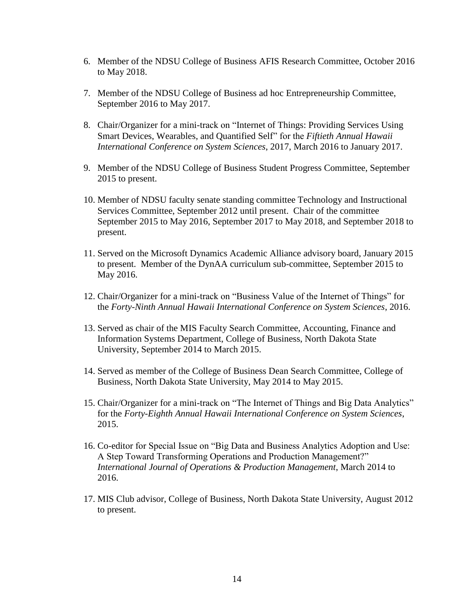- 6. Member of the NDSU College of Business AFIS Research Committee, October 2016 to May 2018.
- 7. Member of the NDSU College of Business ad hoc Entrepreneurship Committee, September 2016 to May 2017.
- 8. Chair/Organizer for a mini-track on "Internet of Things: Providing Services Using Smart Devices, Wearables, and Quantified Self" for the *Fiftieth Annual Hawaii International Conference on System Sciences*, 2017, March 2016 to January 2017.
- 9. Member of the NDSU College of Business Student Progress Committee, September 2015 to present.
- 10. Member of NDSU faculty senate standing committee Technology and Instructional Services Committee, September 2012 until present. Chair of the committee September 2015 to May 2016, September 2017 to May 2018, and September 2018 to present.
- 11. Served on the Microsoft Dynamics Academic Alliance advisory board, January 2015 to present. Member of the DynAA curriculum sub-committee, September 2015 to May 2016.
- 12. Chair/Organizer for a mini-track on "Business Value of the Internet of Things" for the *Forty-Ninth Annual Hawaii International Conference on System Sciences*, 2016.
- 13. Served as chair of the MIS Faculty Search Committee, Accounting, Finance and Information Systems Department, College of Business, North Dakota State University, September 2014 to March 2015.
- 14. Served as member of the College of Business Dean Search Committee, College of Business, North Dakota State University, May 2014 to May 2015.
- 15. Chair/Organizer for a mini-track on "The Internet of Things and Big Data Analytics" for the *Forty-Eighth Annual Hawaii International Conference on System Sciences*, 2015.
- 16. Co-editor for Special Issue on "Big Data and Business Analytics Adoption and Use: A Step Toward Transforming Operations and Production Management?" *International Journal of Operations & Production Management*, March 2014 to 2016.
- 17. MIS Club advisor, College of Business, North Dakota State University, August 2012 to present.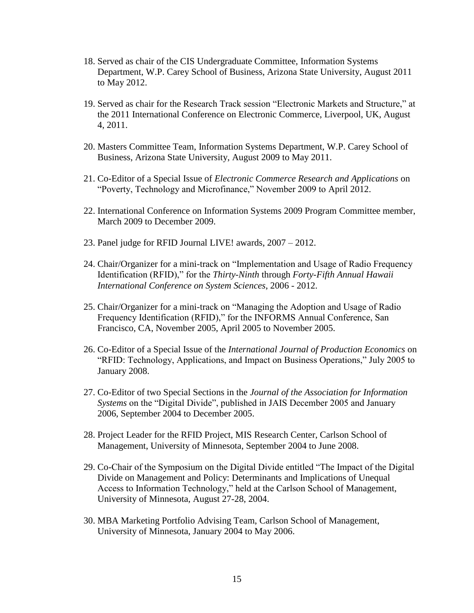- 18. Served as chair of the CIS Undergraduate Committee, Information Systems Department, W.P. Carey School of Business, Arizona State University, August 2011 to May 2012.
- 19. Served as chair for the Research Track session "Electronic Markets and Structure," at the 2011 International Conference on Electronic Commerce, Liverpool, UK, August 4, 2011.
- 20. Masters Committee Team, Information Systems Department, W.P. Carey School of Business, Arizona State University, August 2009 to May 2011.
- 21. Co-Editor of a Special Issue of *Electronic Commerce Research and Applications* on "Poverty, Technology and Microfinance," November 2009 to April 2012.
- 22. International Conference on Information Systems 2009 Program Committee member, March 2009 to December 2009.
- 23. Panel judge for RFID Journal LIVE! awards, 2007 2012.
- 24. Chair/Organizer for a mini-track on "Implementation and Usage of Radio Frequency Identification (RFID)," for the *Thirty-Ninth* through *Forty-Fifth Annual Hawaii International Conference on System Sciences*, 2006 - 2012.
- 25. Chair/Organizer for a mini-track on "Managing the Adoption and Usage of Radio Frequency Identification (RFID)," for the INFORMS Annual Conference, San Francisco, CA, November 2005, April 2005 to November 2005.
- 26. Co-Editor of a Special Issue of the *International Journal of Production Economics* on "RFID: Technology, Applications, and Impact on Business Operations," July 2005 to January 2008.
- 27. Co-Editor of two Special Sections in the *Journal of the Association for Information Systems* on the "Digital Divide", published in JAIS December 2005 and January 2006, September 2004 to December 2005.
- 28. Project Leader for the RFID Project, MIS Research Center, Carlson School of Management, University of Minnesota, September 2004 to June 2008.
- 29. Co-Chair of the Symposium on the Digital Divide entitled "The Impact of the Digital Divide on Management and Policy: Determinants and Implications of Unequal Access to Information Technology," held at the Carlson School of Management, University of Minnesota, August 27-28, 2004.
- 30. MBA Marketing Portfolio Advising Team, Carlson School of Management, University of Minnesota, January 2004 to May 2006.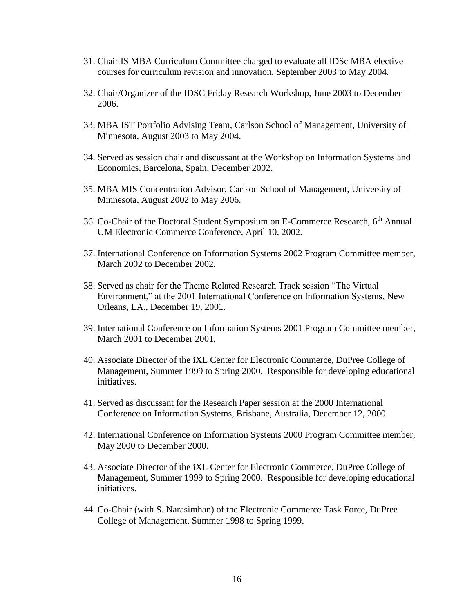- 31. Chair IS MBA Curriculum Committee charged to evaluate all IDSc MBA elective courses for curriculum revision and innovation, September 2003 to May 2004.
- 32. Chair/Organizer of the IDSC Friday Research Workshop, June 2003 to December 2006.
- 33. MBA IST Portfolio Advising Team, Carlson School of Management, University of Minnesota, August 2003 to May 2004.
- 34. Served as session chair and discussant at the Workshop on Information Systems and Economics, Barcelona, Spain, December 2002.
- 35. MBA MIS Concentration Advisor, Carlson School of Management, University of Minnesota, August 2002 to May 2006.
- 36. Co-Chair of the Doctoral Student Symposium on E-Commerce Research, 6<sup>th</sup> Annual UM Electronic Commerce Conference, April 10, 2002.
- 37. International Conference on Information Systems 2002 Program Committee member, March 2002 to December 2002.
- 38. Served as chair for the Theme Related Research Track session "The Virtual Environment," at the 2001 International Conference on Information Systems, New Orleans, LA., December 19, 2001.
- 39. International Conference on Information Systems 2001 Program Committee member, March 2001 to December 2001.
- 40. Associate Director of the iXL Center for Electronic Commerce, DuPree College of Management, Summer 1999 to Spring 2000. Responsible for developing educational initiatives.
- 41. Served as discussant for the Research Paper session at the 2000 International Conference on Information Systems, Brisbane, Australia, December 12, 2000.
- 42. International Conference on Information Systems 2000 Program Committee member, May 2000 to December 2000.
- 43. Associate Director of the iXL Center for Electronic Commerce, DuPree College of Management, Summer 1999 to Spring 2000. Responsible for developing educational initiatives.
- 44. Co-Chair (with S. Narasimhan) of the Electronic Commerce Task Force, DuPree College of Management, Summer 1998 to Spring 1999.